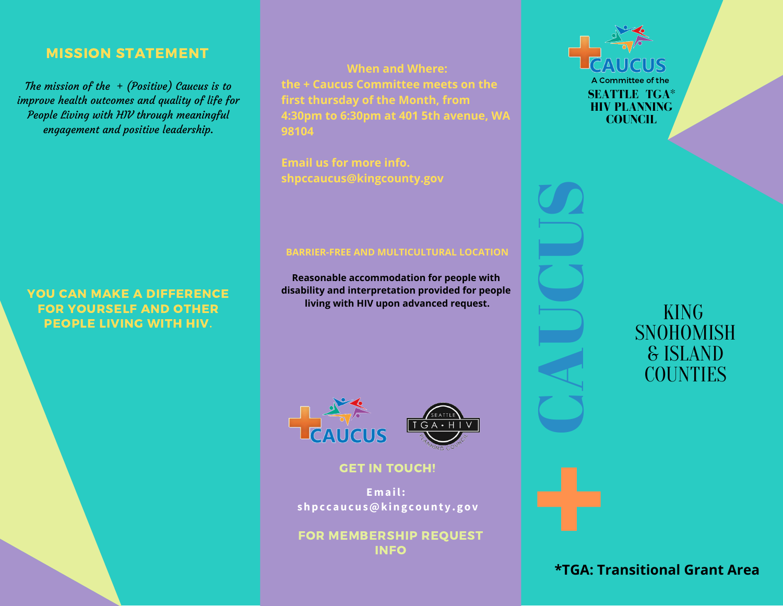## MISSION STATEMENT

The mission of the  $+$  (Positive) Caucus is to improve health outcomes and quality of life for People Living with HIV through meaningful engagement and positive leadership.

YOU CAN MAKE A DIFFERENCE FOR YOURSELF AND OTHER PEOPLE LIVING WITH HIV.

**When and Where: the + Caucus Committee meets on the first thursday of the Month, from 4:30pm to 6:30pm at 401 5th avenue, WA 98104**

**Email us for more info. shpccaucus@kingcounty.gov**

## **BARRIER-FREE AND MULTICULTURAL LOCATION**

**Reasonable accommodation for people with disability and interpretation provided for people living with HIV upon advanced request.**



### **GET IN TOUCH!**

**Email: shpc caucus@kingcounty.gov**

FOR MEMBERSHIP REQUEST INFO



KING SNOHOMISH & ISLAND **COUNTIES** 

# **\*TGA: Transitional Grant Area**

C

A

 $\Box$ 

C

U

**U**